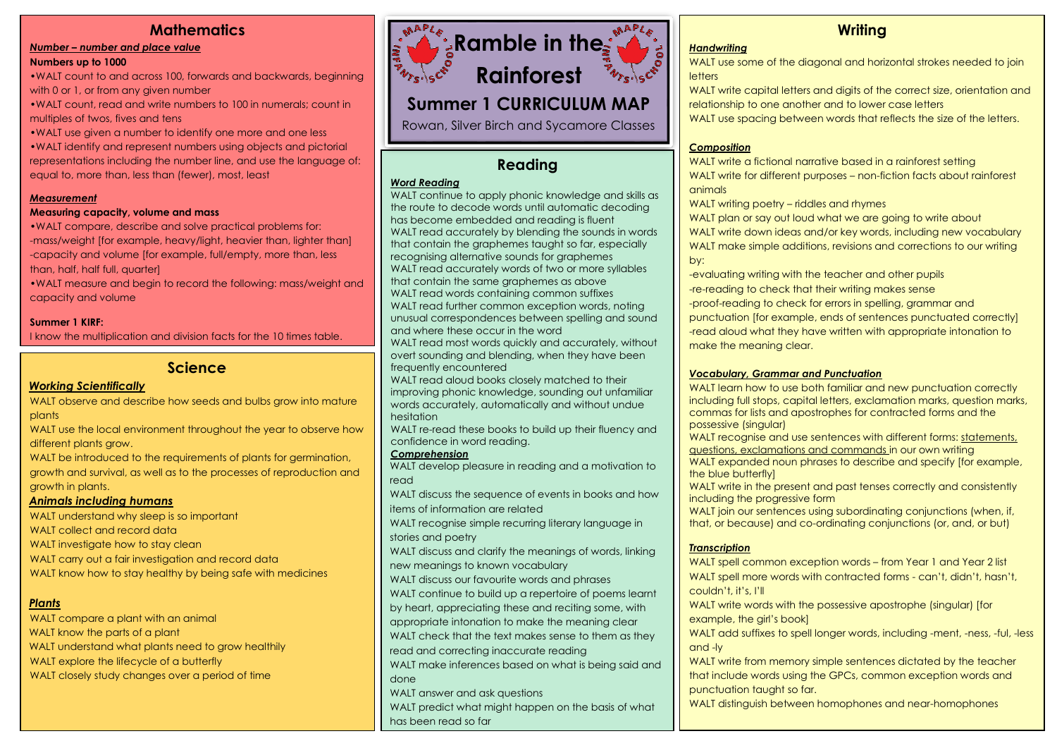## **Mathematics**

#### *Number – number and place value*

#### **Numbers up to 1000**

•WALT count to and across 100, forwards and backwards, beginning with 0 or 1, or from any given number

•WALT count, read and write numbers to 100 in numerals; count in multiples of twos, fives and tens

•WALT use given a number to identify one more and one less •WALT identify and represent numbers using objects and pictorial representations including the number line, and use the language of: equal to, more than, less than (fewer), most, least

#### *Measurement*

#### **Measuring capacity, volume and mass**

•WALT compare, describe and solve practical problems for: -mass/weight [for example, heavy/light, heavier than, lighter than] -capacity and volume [for example, full/empty, more than, less than, half, half full, quarter]

•WALT measure and begin to record the following: mass/weight and capacity and volume

#### **Summer 1 KIRF:**

I know the multiplication and division facts for the 10 times table.

## **Science**

#### *Working Scientifically*

WALT observe and describe how seeds and bulbs grow into mature plants

WALT use the local environment throughout the year to observe how different plants grow.

WALT be introduced to the requirements of plants for germination, growth and survival, as well as to the processes of reproduction and growth in plants.

#### *Animals including humans*

WALT understand why sleep is so important WALT collect and record data WALT investigate how to stay clean WALT carry out a fair investigation and record data WALT know how to stay healthy by being safe with medicines

## *Plants*

WALT compare a plant with an animal WALT know the parts of a plant WALT understand what plants need to grow healthily WALT explore the lifecycle of a butterfly WALT closely study changes over a period of time



# Summer 1 CURRICULUM MAP

Rowan, Silver Birch and Sycamore Classes

## **Reading**

## *Word Reading*

WALT continue to apply phonic knowledge and skills as the route to decode words until automatic decoding has become embedded and reading is fluent WALT read accurately by blending the sounds in words that contain the graphemes taught so far, especially recognising alternative sounds for graphemes WALT read accurately words of two or more syllables that contain the same graphemes as above WALT read words containing common suffixes WALT read further common exception words, noting unusual correspondences between spelling and sound and where these occur in the word WALT read most words quickly and accurately, without

overt sounding and blending, when they have been frequently encountered

WALT read aloud books closely matched to their improving phonic knowledge, sounding out unfamiliar words accurately, automatically and without undue hesitation

WALT re-read these books to build up their fluency and confidence in word reading.

#### *Comprehension*

WALT develop pleasure in reading and a motivation to read

WALT discuss the sequence of events in books and how items of information are related

WALT recognise simple recurring literary language in stories and poetry

WALT discuss and clarify the meanings of words, linking new meanings to known vocabulary

WALT discuss our favourite words and phrases

WALT continue to build up a repertoire of poems learnt

by heart, appreciating these and reciting some, with

appropriate intonation to make the meaning clear

WALT check that the text makes sense to them as they

read and correcting inaccurate reading

WALT make inferences based on what is being said and done

WALT answer and ask questions

WALT predict what might happen on the basis of what has been read so far

## **Writing**

#### *Handwriting*

WALT use some of the diagonal and horizontal strokes needed to join **letters** 

WALT write capital letters and digits of the correct size, orientation and relationship to one another and to lower case letters

WALT use spacing between words that reflects the size of the letters.

#### *Composition*

WALT write a fictional narrative based in a rainforest setting WALT write for different purposes – non-fiction facts about rainforest animals

WALT writing poetry – riddles and rhymes

WALT plan or say out loud what we are going to write about WALT write down ideas and/or key words, including new vocabulary WALT make simple additions, revisions and corrections to our writing by:

-evaluating writing with the teacher and other pupils -re-reading to check that their writing makes sense -proof-reading to check for errors in spelling, grammar and punctuation [for example, ends of sentences punctuated correctly] -read aloud what they have written with appropriate intonation to make the meaning clear.

#### *Vocabulary, Grammar and Punctuation*

WALT learn how to use both familiar and new punctuation correctly including full stops, capital letters, exclamation marks, question marks, commas for lists and apostrophes for contracted forms and the possessive (singular)

WALT recognise and use sentences with different forms: statements, questions, exclamations and commands in our own writing

WALT expanded noun phrases to describe and specify [for example, the blue butterfly]

WALT write in the present and past tenses correctly and consistently including the progressive form

WALT join our sentences using subordinating conjunctions (when, if, that, or because) and co-ordinating conjunctions (or, and, or but)

#### *Transcription*

WALT spell common exception words – from Year 1 and Year 2 list WALT spell more words with contracted forms - can't, didn't, hasn't, couldn't, it's, I'll

WALT write words with the possessive apostrophe (singular) [for example, the girl's book]

WALT add suffixes to spell longer words, including -ment, -ness, -ful, -less and -ly

WALT write from memory simple sentences dictated by the teacher that include words using the GPCs, common exception words and punctuation taught so far.

WALT distinguish between homophones and near-homophones